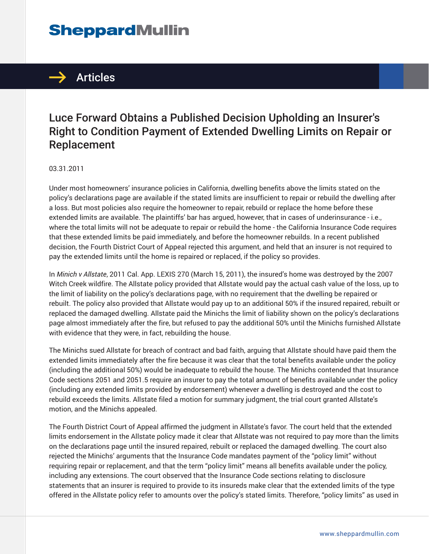# **SheppardMullin**



## Luce Forward Obtains a Published Decision Upholding an Insurer's Right to Condition Payment of Extended Dwelling Limits on Repair or Replacement

#### 03.31.2011

Under most homeowners' insurance policies in California, dwelling benefits above the limits stated on the policy's declarations page are available if the stated limits are insufficient to repair or rebuild the dwelling after a loss. But most policies also require the homeowner to repair, rebuild or replace the home before these extended limits are available. The plaintiffs' bar has argued, however, that in cases of underinsurance - i.e., where the total limits will not be adequate to repair or rebuild the home - the California Insurance Code requires that these extended limits be paid immediately, and before the homeowner rebuilds. In a recent published decision, the Fourth District Court of Appeal rejected this argument, and held that an insurer is not required to pay the extended limits until the home is repaired or replaced, if the policy so provides.

In *Minich v Allstate*, 2011 Cal. App. LEXIS 270 (March 15, 2011), the insured's home was destroyed by the 2007 Witch Creek wildfire. The Allstate policy provided that Allstate would pay the actual cash value of the loss, up to the limit of liability on the policy's declarations page, with no requirement that the dwelling be repaired or rebuilt. The policy also provided that Allstate would pay up to an additional 50% if the insured repaired, rebuilt or replaced the damaged dwelling. Allstate paid the Minichs the limit of liability shown on the policy's declarations page almost immediately after the fire, but refused to pay the additional 50% until the Minichs furnished Allstate with evidence that they were, in fact, rebuilding the house.

The Minichs sued Allstate for breach of contract and bad faith, arguing that Allstate should have paid them the extended limits immediately after the fire because it was clear that the total benefits available under the policy (including the additional 50%) would be inadequate to rebuild the house. The Minichs contended that Insurance Code sections 2051 and 2051.5 require an insurer to pay the total amount of benefits available under the policy (including any extended limits provided by endorsement) whenever a dwelling is destroyed and the cost to rebuild exceeds the limits. Allstate filed a motion for summary judgment, the trial court granted Allstate's motion, and the Minichs appealed.

The Fourth District Court of Appeal affirmed the judgment in Allstate's favor. The court held that the extended limits endorsement in the Allstate policy made it clear that Allstate was not required to pay more than the limits on the declarations page until the insured repaired, rebuilt or replaced the damaged dwelling. The court also rejected the Minichs' arguments that the Insurance Code mandates payment of the "policy limit" without requiring repair or replacement, and that the term "policy limit" means all benefits available under the policy, including any extensions. The court observed that the Insurance Code sections relating to disclosure statements that an insurer is required to provide to its insureds make clear that the extended limits of the type offered in the Allstate policy refer to amounts over the policy's stated limits. Therefore, "policy limits" as used in